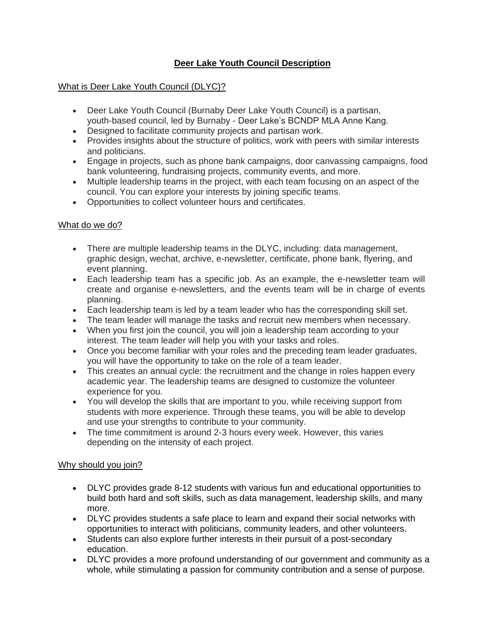## **Deer Lake Youth Council Description**

### What is Deer Lake Youth Council (DLYC)?

- Deer Lake Youth Council (Burnaby Deer Lake Youth Council) is a partisan, youth-based council, led by Burnaby - Deer Lake's BCNDP MLA Anne Kang.
- Designed to facilitate community projects and partisan work.
- Provides insights about the structure of politics, work with peers with similar interests and politicians.
- Engage in projects, such as phone bank campaigns, door canvassing campaigns, food bank volunteering, fundraising projects, community events, and more.
- Multiple leadership teams in the project, with each team focusing on an aspect of the council. You can explore your interests by joining specific teams.
- Opportunities to collect volunteer hours and certificates.

### What do we do?

- There are multiple leadership teams in the DLYC, including: data management, graphic design, wechat, archive, e-newsletter, certificate, phone bank, flyering, and event planning.
- Each leadership team has a specific job. As an example, the e-newsletter team will create and organise e-newsletters, and the events team will be in charge of events planning.
- Each leadership team is led by a team leader who has the corresponding skill set.
- The team leader will manage the tasks and recruit new members when necessary.
- When you first join the council, you will join a leadership team according to your interest. The team leader will help you with your tasks and roles.
- Once you become familiar with your roles and the preceding team leader graduates, you will have the opportunity to take on the role of a team leader.
- This creates an annual cycle: the recruitment and the change in roles happen every academic year. The leadership teams are designed to customize the volunteer experience for you.
- You will develop the skills that are important to you, while receiving support from students with more experience. Through these teams, you will be able to develop and use your strengths to contribute to your community.
- The time commitment is around 2-3 hours every week. However, this varies depending on the intensity of each project.

### Why should you join?

- DLYC provides grade 8-12 students with various fun and educational opportunities to build both hard and soft skills, such as data management, leadership skills, and many more.
- DLYC provides students a safe place to learn and expand their social networks with opportunities to interact with politicians, community leaders, and other volunteers.
- Students can also explore further interests in their pursuit of a post-secondary education.
- DLYC provides a more profound understanding of our government and community as a whole, while stimulating a passion for community contribution and a sense of purpose.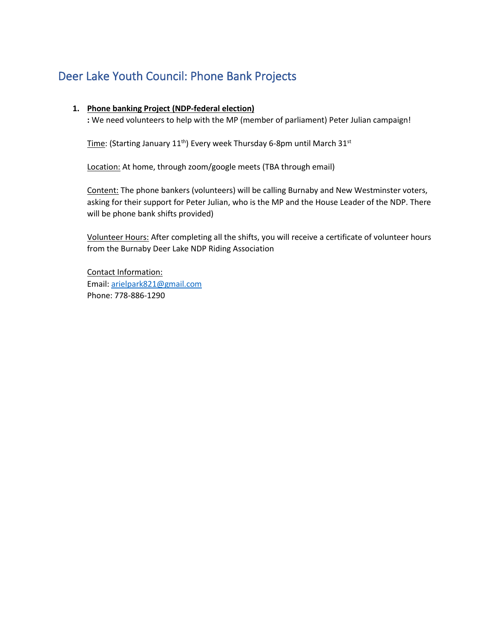# Deer Lake Youth Council: Phone Bank Projects

#### **1. Phone banking Project (NDP-federal election)**

**:** We need volunteers to help with the MP (member of parliament) Peter Julian campaign!

Time: (Starting January  $11^{th}$ ) Every week Thursday 6-8pm until March  $31^{st}$ 

Location: At home, through zoom/google meets (TBA through email)

Content: The phone bankers (volunteers) will be calling Burnaby and New Westminster voters, asking for their support for Peter Julian, who is the MP and the House Leader of the NDP. There will be phone bank shifts provided)

Volunteer Hours: After completing all the shifts, you will receive a certificate of volunteer hours from the Burnaby Deer Lake NDP Riding Association

Contact Information: Email: [arielpark821@gmail.com](mailto:arielpark821@gmail.com) Phone: 778-886-1290